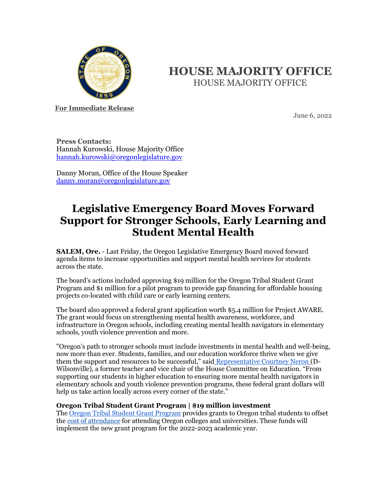

# **HOUSE MAJORITY OFFICE** HOUSE MAJORITY OFFICE

**For Immediate Release**

June 6, 2022

**Press Contacts:** Hannah Kurowski, House Majority Office [hannah.kurowski@oregonlegislature.gov](mailto:hannah.kurowski@oregonlegislature.gov)

Danny Moran, Office of the House Speaker [danny.moran@oregonlegislature.gov](mailto:danny.moran@oregonlegislature.gov)

# **Legislative Emergency Board Moves Forward Support for Stronger Schools, Early Learning and Student Mental Health**

**SALEM, Ore.** - Last Friday, the Oregon Legislative Emergency Board moved forward agenda items to increase opportunities and support mental health services for students across the state.

The board's actions included approving \$19 million for the Oregon Tribal Student Grant Program and \$1 million for a pilot program to provide gap financing for affordable housing projects co-located with child care or early learning centers.

The board also approved a federal grant application worth \$5.4 million for Project AWARE. The grant would focus on strengthening mental health awareness, workforce, and infrastructure in Oregon schools, including creating mental health navigators in elementary schools, youth violence prevention and more.

"Oregon's path to stronger schools must include investments in mental health and well-being, now more than ever. Students, families, and our education workforce thrive when we give them the support and resources to be successful," sai[d](https://www.oregonlegislature.gov/neron) [Representative Courtney Neron](https://www.oregonlegislature.gov/neron) (D-Wilsonville), a former teacher and vice chair of the House Committee on Education. "From supporting our students in higher education to ensuring more mental health navigators in elementary schools and youth violence prevention programs, these federal grant dollars will help us take action locally across every corner of the state."

## **Oregon Tribal Student Grant Program | \$19 million investment**

The [Oregon Tribal Student Grant Program](https://oregonstudentaid.gov/oregon-tribal-student.aspx) provides grants to Oregon tribal students to offset th[e cost of attendance](https://studentaid.gov/help-center/answers/article/what-does-cost-of-attendance-mean) for attending Oregon colleges and universities. These funds will implement the new grant program for the 2022-2023 academic year.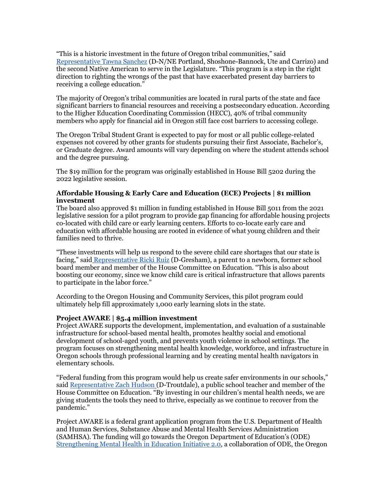"This is a historic investment in the future of Oregon tribal communities," said [Representative Tawna Sanchez](https://www.oregonlegislature.gov/sanchez) (D-N/NE Portland, Shoshone-Bannock, Ute and Carrizo) and the second Native American to serve in the Legislature. "This program is a step in the right direction to righting the wrongs of the past that have exacerbated present day barriers to receiving a college education."

The majority of Oregon's tribal communities are located in rural parts of the state and face significant barriers to financial resources and receiving a postsecondary education. According to the Higher Education Coordinating Commission (HECC), 40% of tribal community members who apply for financial aid in Oregon still face cost barriers to accessing college.

The Oregon Tribal Student Grant is expected to pay for most or all public college-related expenses not covered by other grants for students pursuing their first Associate, Bachelor's, or Graduate degree. Award amounts will vary depending on where the student attends school and the degree pursuing.

The \$19 million for the program was originally established in House Bill 5202 during the 2022 legislative session.

### **Affordable Housing & Early Care and Education (ECE) Projects | \$1 million investment**

The board also approved \$1 million in funding established in House Bill 5011 from the 2021 legislative session for a pilot program to provide gap financing for affordable housing projects co-located with child care or early learning centers. Efforts to co-locate early care and education with affordable housing are rooted in evidence of what young children and their families need to thrive.

"These investments will help us respond to the severe child care shortages that our state is facing," said [Representative Ricki Ruiz](https://www.oregonlegislature.gov/ruiz) (D-Gresham), a parent to a newborn, former school board member and member of the House Committee on Education. "This is also about boosting our economy, since we know child care is critical infrastructure that allows parents to participate in the labor force."

According to the Oregon Housing and Community Services, this pilot program could ultimately help fill approximately 1,000 early learning slots in the state.

#### **Project AWARE | \$5.4 million investment**

Project AWARE supports the development, implementation, and evaluation of a sustainable infrastructure for school-based mental health, promotes healthy social and emotional development of school-aged youth, and prevents youth violence in school settings. The program focuses on strengthening mental health knowledge, workforce, and infrastructure in Oregon schools through professional learning and by creating mental health navigators in elementary schools.

"Federal funding from this program would help us create safer environments in our schools," sai[d Representative Zach Hudson](https://www.oregonlegislature.gov/hudson) (D-Troutdale), a public school teacher and member of the House Committee on Education. "By investing in our children's mental health needs, we are giving students the tools they need to thrive, especially as we continue to recover from the pandemic."

Project AWARE is a federal grant application program from the U.S. Department of Health and Human Services, Substance Abuse and Mental Health Services Administration (SAMHSA). The funding will go towards the Oregon Department of Education's (ODE) [Strengthening Mental Health in Education Initiative 2.0,](https://www.oregon.gov/ode/students-and-family/equity/SchoolSafety/Pages/Strengthening-Mental-Health-in-Education.aspx#:~:text=Strengthening%20Mental%20Health%20in%20Education%20(SMHiE)%202.0&text=The%20collective%20effort%20is%20designed,mental%20and%20behavioral%20health%20resources.) a collaboration of ODE, the Oregon